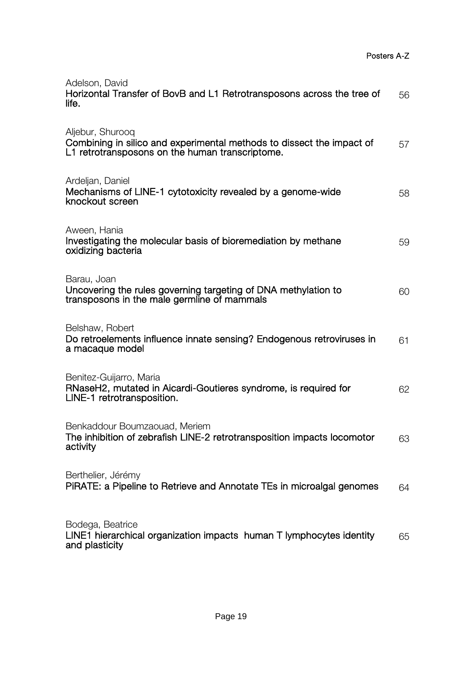| Adelson, David<br>Horizontal Transfer of BovB and L1 Retrotransposons across the tree of<br>life.                                            | 56 |
|----------------------------------------------------------------------------------------------------------------------------------------------|----|
| Aljebur, Shurooq<br>Combining in silico and experimental methods to dissect the impact of<br>L1 retrotransposons on the human transcriptome. | 57 |
| Ardeljan, Daniel<br>Mechanisms of LINE-1 cytotoxicity revealed by a genome-wide<br>knockout screen                                           | 58 |
| Aween, Hania<br>Investigating the molecular basis of bioremediation by methane<br>oxidizing bacteria                                         | 59 |
| Barau, Joan<br>Uncovering the rules governing targeting of DNA methylation to<br>transposons in the male germline of mammals                 | 60 |
| Belshaw, Robert<br>Do retroelements influence innate sensing? Endogenous retroviruses in<br>a macaque model                                  | 61 |
| Benitez-Guijarro, Maria<br>RNaseH2, mutated in Aicardi-Goutieres syndrome, is required for<br>LINE-1 retrotransposition.                     | 62 |
| Benkaddour Boumzaouad, Meriem<br>The inhibition of zebrafish LINE-2 retrotransposition impacts locomotor<br>activity                         | 63 |
| Berthelier, Jérémy<br>PIRATE: a Pipeline to Retrieve and Annotate TEs in microalgal genomes                                                  | 64 |
| Bodega, Beatrice<br>LINE1 hierarchical organization impacts human T lymphocytes identity<br>and plasticity                                   | 65 |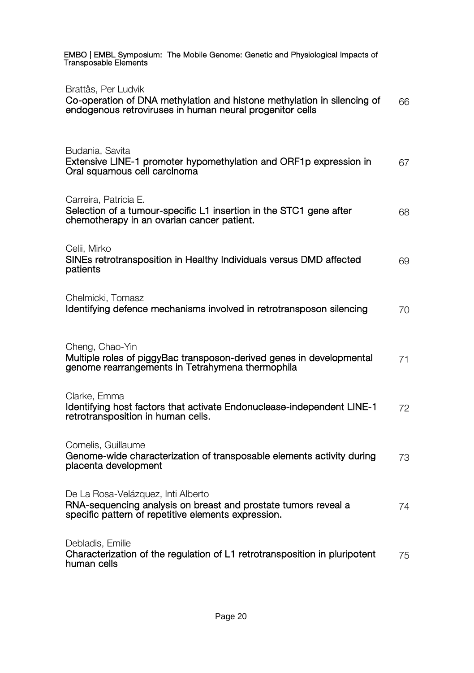| EMBO   EMBL Symposium: The Mobile Genome: Genetic and Physiological Impacts of<br>Transposable Elements                                                     |    |
|-------------------------------------------------------------------------------------------------------------------------------------------------------------|----|
| Brattås, Per Ludvik<br>Co-operation of DNA methylation and histone methylation in silencing of<br>endogenous retroviruses in human neural progenitor cells  | 66 |
| Budania, Savita<br>Extensive LINE-1 promoter hypomethylation and ORF1p expression in<br>Oral squamous cell carcinoma                                        | 67 |
| Carreira, Patricia E.<br>Selection of a tumour-specific L1 insertion in the STC1 gene after<br>chemotherapy in an ovarian cancer patient.                   | 68 |
| Celii, Mirko<br>SINEs retrotransposition in Healthy Individuals versus DMD affected<br>patients                                                             | 69 |
| Chelmicki, Tomasz<br>Identifying defence mechanisms involved in retrotransposon silencing                                                                   | 70 |
| Cheng, Chao-Yin<br>Multiple roles of piggyBac transposon-derived genes in developmental<br>genome rearrangements in Tetrahymena thermophila                 | 71 |
| Clarke, Emma<br>Identifying host factors that activate Endonuclease-independent LINE-1<br>retrotransposition in human cells.                                | 72 |
| Cornelis, Guillaume<br>Genome-wide characterization of transposable elements activity during<br>placenta development                                        | 73 |
| De La Rosa-Velázquez, Inti Alberto<br>RNA-sequencing analysis on breast and prostate tumors reveal a<br>specific pattern of repetitive elements expression. | 74 |
| Debladis, Emilie<br>Characterization of the regulation of L1 retrotransposition in pluripotent<br>human cells                                               | 75 |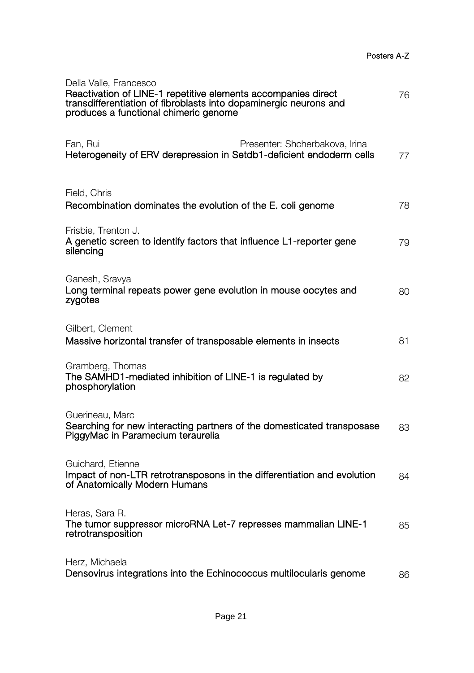| Della Valle, Francesco<br>Reactivation of LINE-1 repetitive elements accompanies direct<br>transdifferentiation of fibroblasts into dopaminergic neurons and<br>produces a functional chimeric genome | 76 |
|-------------------------------------------------------------------------------------------------------------------------------------------------------------------------------------------------------|----|
| Presenter: Shcherbakova, Irina<br>Fan, Rui<br>Heterogeneity of ERV derepression in Setdb1-deficient endoderm cells                                                                                    | 77 |
| Field, Chris<br>Recombination dominates the evolution of the E. coli genome                                                                                                                           | 78 |
| Frisbie, Trenton J.<br>A genetic screen to identify factors that influence L1-reporter gene<br>silencing                                                                                              | 79 |
| Ganesh, Sravya<br>Long terminal repeats power gene evolution in mouse oocytes and<br>zvgotes                                                                                                          | 80 |
| Gilbert, Clement<br>Massive horizontal transfer of transposable elements in insects                                                                                                                   | 81 |
| Gramberg, Thomas<br>The SAMHD1-mediated inhibition of LINE-1 is regulated by<br>phosphorylation                                                                                                       | 82 |
| Guerineau, Marc<br>Searching for new interacting partners of the domesticated transposase<br>PiggyMac in Paramecium teraurelia                                                                        | 83 |
| Guichard, Etienne<br>Impact of non-LTR retrotransposons in the differentiation and evolution<br>of Anatomically Modern Humans                                                                         | 84 |
| Heras, Sara R.<br>The tumor suppressor microRNA Let-7 represses mammalian LINE-1<br>retrotransposition                                                                                                | 85 |
| Herz, Michaela<br>Densovirus integrations into the Echinococcus multilocularis genome                                                                                                                 | 86 |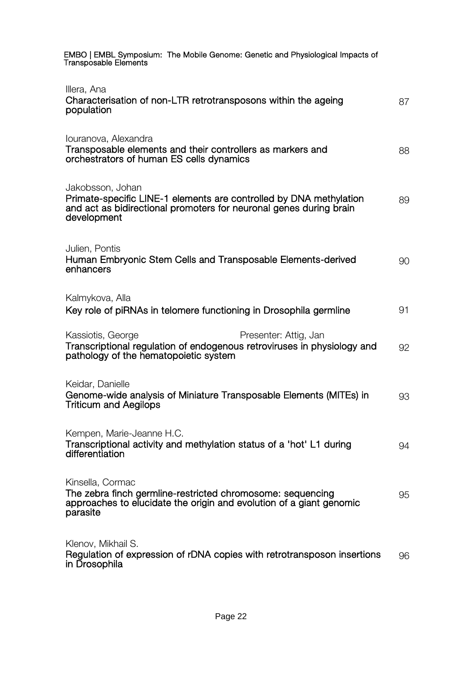| EMBO   EMBL Symposium: The Mobile Genome: Genetic and Physiological Impacts of<br><b>Transposable Elements</b>                                                              |    |
|-----------------------------------------------------------------------------------------------------------------------------------------------------------------------------|----|
| Illera, Ana<br>Characterisation of non-LTR retrotransposons within the ageing<br>population                                                                                 | 87 |
| Iouranova, Alexandra<br>Transposable elements and their controllers as markers and<br>orchestrators of human ES cells dynamics                                              | 88 |
| Jakobsson, Johan<br>Primate-specific LINE-1 elements are controlled by DNA methylation<br>and act as bidirectional promoters for neuronal genes during brain<br>development | 89 |
| Julien, Pontis<br>Human Embryonic Stem Cells and Transposable Elements-derived<br>enhancers                                                                                 | 90 |
| Kalmykova, Alla<br>Key role of piRNAs in telomere functioning in Drosophila germline                                                                                        | 91 |
| Kassiotis, George<br>Presenter: Attig, Jan<br>Transcriptional regulation of endogenous retroviruses in physiology and<br>pathology of the hematopoietic system              | 92 |
| Keidar, Danielle<br>Genome-wide analysis of Miniature Transposable Elements (MITEs) in<br><b>Triticum and Aegilops</b>                                                      | 93 |
| Kempen, Marie-Jeanne H.C.<br>Transcriptional activity and methylation status of a 'hot' L1 during<br>differentiation                                                        | 94 |
| Kinsella, Cormac<br>The zebra finch germline-restricted chromosome: sequencing<br>approaches to elucidate the origin and evolution of a giant genomic<br>parasite           | 95 |
| Klenov, Mikhail S.<br>Regulation of expression of rDNA copies with retrotransposon insertions<br>in Drosophila                                                              | 96 |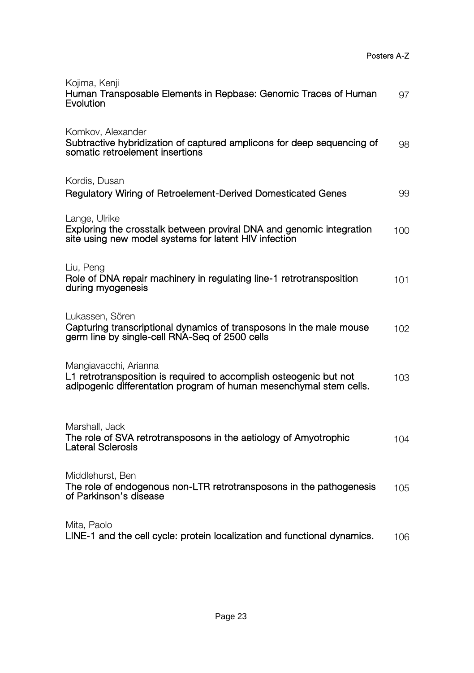| Kojima, Kenji<br>Human Transposable Elements in Repbase: Genomic Traces of Human<br>Evolution                                                                     | 97  |
|-------------------------------------------------------------------------------------------------------------------------------------------------------------------|-----|
| Komkov, Alexander<br>Subtractive hybridization of captured amplicons for deep sequencing of<br>somatic retroelement insertions                                    | 98  |
| Kordis, Dusan<br>Regulatory Wiring of Retroelement-Derived Domesticated Genes                                                                                     | 99  |
| Lange, Ulrike<br>Exploring the crosstalk between proviral DNA and genomic integration<br>site using new model systems for latent HIV infection                    | 100 |
| Liu, Peng<br>Role of DNA repair machinery in regulating line-1 retrotransposition<br>during myogenesis                                                            | 101 |
| Lukassen, Sören<br>Capturing transcriptional dynamics of transposons in the male mouse<br>germ line by single-cell RNA-Seq of 2500 cells                          | 102 |
| Mangiavacchi, Arianna<br>L1 retrotransposition is required to accomplish osteogenic but not<br>adipogenic differentation program of human mesenchymal stem cells. | 103 |
| Marshall, Jack<br>The role of SVA retrotransposons in the aetiology of Amyotrophic<br>Lateral Sclerosis                                                           | 104 |
| Middlehurst, Ben<br>The role of endogenous non-LTR retrotransposons in the pathogenesis<br>of Parkinson's disease                                                 | 105 |
| Mita, Paolo<br>LINE-1 and the cell cycle: protein localization and functional dynamics.                                                                           | 106 |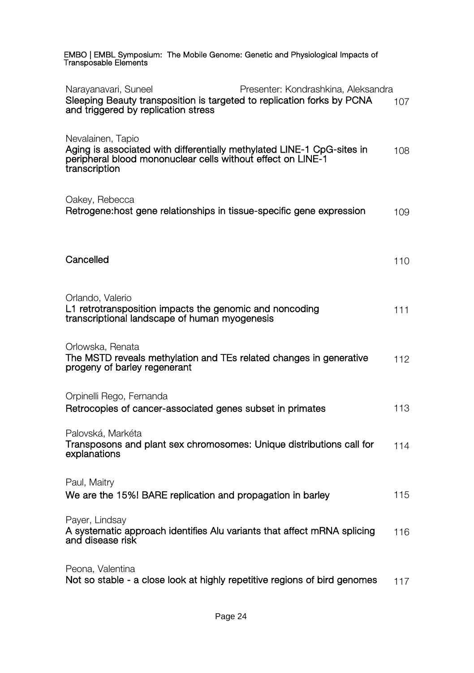| EMBO   EMBL Symposium: The Mobile Genome: Genetic and Physiological Impacts of<br>Transposable Elements                                                                      |     |
|------------------------------------------------------------------------------------------------------------------------------------------------------------------------------|-----|
| Presenter: Kondrashkina, Aleksandra<br>Narayanavari, Suneel<br>Sleeping Beauty transposition is targeted to replication forks by PCNA<br>and triggered by replication stress | 107 |
| Nevalainen, Tapio<br>Aging is associated with differentially methylated LINE-1 CpG-sites in<br>peripheral blood mononuclear cells without effect on LINE-1<br>transcription  | 108 |
| Oakey, Rebecca<br>Retrogene: host gene relationships in tissue-specific gene expression                                                                                      | 109 |
| Cancelled                                                                                                                                                                    | 110 |
| Orlando, Valerio<br>L1 retrotransposition impacts the genomic and noncoding<br>transcriptional landscape of human myogenesis                                                 | 111 |
| Orlowska, Renata<br>The MSTD reveals methylation and TEs related changes in generative<br>progeny of barley regenerant                                                       | 112 |
| Orpinelli Rego, Fernanda<br>Retrocopies of cancer-associated genes subset in primates                                                                                        | 113 |
| Palovská, Markéta<br>Transposons and plant sex chromosomes: Unique distributions call for<br>explanations                                                                    | 114 |
| Paul, Maitry<br>We are the 15%! BARE replication and propagation in barley                                                                                                   | 115 |
| Payer, Lindsay<br>A systematic approach identifies Alu variants that affect mRNA splicing<br>and disease risk                                                                | 116 |
| Peona, Valentina<br>Not so stable - a close look at highly repetitive regions of bird genomes                                                                                | 117 |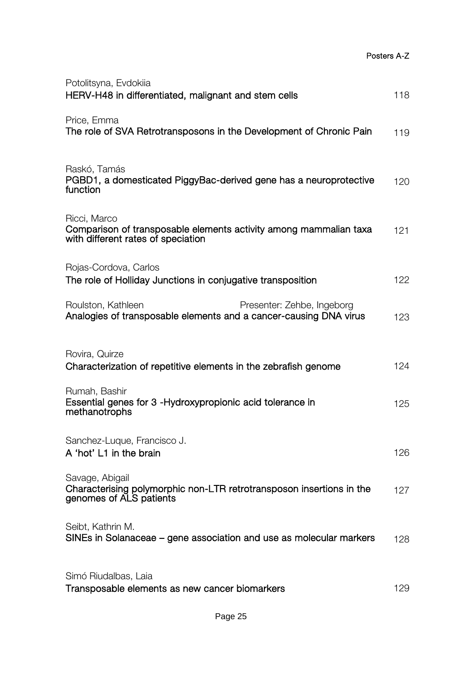Posters A-Z

| Potolitsyna, Evdokiia<br>HERV-H48 in differentiated, malignant and stem cells                                           | 118 |
|-------------------------------------------------------------------------------------------------------------------------|-----|
| Price, Emma<br>The role of SVA Retrotransposons in the Development of Chronic Pain                                      | 119 |
| Raskó, Tamás<br>PGBD1, a domesticated PiggyBac-derived gene has a neuroprotective<br>function                           | 120 |
| Ricci, Marco<br>Comparison of transposable elements activity among mammalian taxa<br>with different rates of speciation | 121 |
| Rojas-Cordova, Carlos<br>The role of Holliday Junctions in conjugative transposition                                    | 122 |
| Roulston, Kathleen<br>Presenter: Zehbe, Ingeborg<br>Analogies of transposable elements and a cancer-causing DNA virus   | 123 |
| Rovira, Quirze<br>Characterization of repetitive elements in the zebrafish genome                                       | 124 |
| Rumah, Bashir<br>Essential genes for 3 - Hydroxypropionic acid tolerance in<br>methanotrophs                            | 125 |
| Sanchez-Luque, Francisco J.<br>A 'hot' L1 in the brain                                                                  | 126 |
| Savage, Abigail<br>Characterising polymorphic non-LTR retrotransposon insertions in the<br>genomes of ALS patients      | 127 |
| Seibt, Kathrin M.<br>SINEs in Solanaceae – gene association and use as molecular markers                                | 128 |
| Simó Riudalbas, Laia<br>Transposable elements as new cancer biomarkers                                                  | 129 |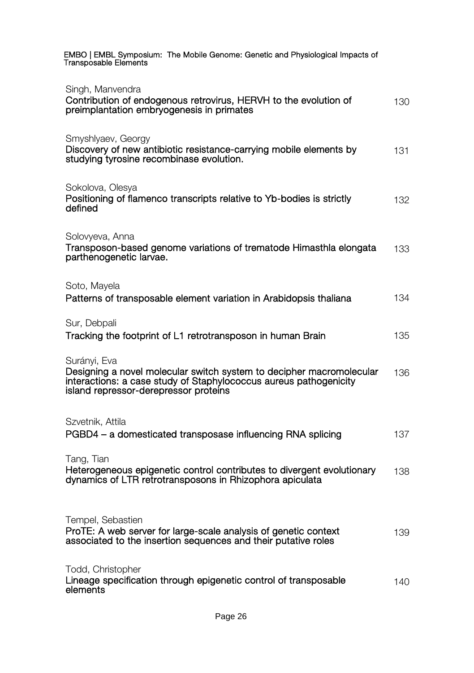| EMBO   EMBL Symposium: The Mobile Genome: Genetic and Physiological Impacts of<br>Transposable Elements                                                                                            |     |
|----------------------------------------------------------------------------------------------------------------------------------------------------------------------------------------------------|-----|
| Singh, Manvendra<br>Contribution of endogenous retrovirus, HERVH to the evolution of<br>preimplantation embryogenesis in primates                                                                  | 130 |
| Smyshlyaev, Georgy<br>Discovery of new antibiotic resistance-carrying mobile elements by<br>studying tyrosine recombinase evolution.                                                               | 131 |
| Sokolova, Olesya<br>Positioning of flamenco transcripts relative to Yb-bodies is strictly<br>defined                                                                                               | 132 |
| Solovyeva, Anna<br>Transposon-based genome variations of trematode Himasthla elongata<br>parthenogenetic larvae.                                                                                   | 133 |
| Soto, Mayela<br>Patterns of transposable element variation in Arabidopsis thaliana                                                                                                                 | 134 |
| Sur, Debpali<br>Tracking the footprint of L1 retrotransposon in human Brain                                                                                                                        | 135 |
| Surányi, Eva<br>Designing a novel molecular switch system to decipher macromolecular<br>interactions: a case study of Staphylococcus aureus pathogenicity<br>island repressor-derepressor proteins | 136 |
| Szvetnik, Attila<br>PGBD4 – a domesticated transposase influencing RNA splicing                                                                                                                    | 137 |
| Tang, Tian<br>Heterogeneous epigenetic control contributes to divergent evolutionary<br>dynamics of LTR retrotransposons in Rhizophora apiculata                                                   | 138 |
| Tempel, Sebastien<br>ProTE: A web server for large-scale analysis of genetic context<br>associated to the insertion sequences and their putative roles                                             | 139 |
| Todd, Christopher<br>Lineage specification through epigenetic control of transposable<br>elements                                                                                                  | 140 |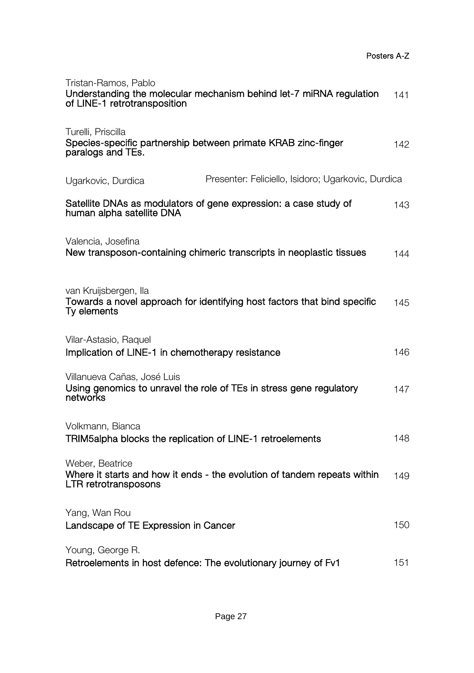| Tristan-Ramos, Pablo<br>Understanding the molecular mechanism behind let-7 miRNA regulation<br>of LINE-1 retrotransposition | 141 |
|-----------------------------------------------------------------------------------------------------------------------------|-----|
| Turelli, Priscilla<br>Species-specific partnership between primate KRAB zinc-finger<br>paralogs and TEs.                    | 142 |
| Presenter: Feliciello, Isidoro; Ugarkovic, Durdica<br>Ugarkovic, Durdica                                                    |     |
| Satellite DNAs as modulators of gene expression: a case study of<br>human alpha satellite DNA                               | 143 |
| Valencia, Josefina<br>New transposon-containing chimeric transcripts in neoplastic tissues                                  | 144 |
| van Kruijsbergen, Ila<br>Towards a novel approach for identifying host factors that bind specific<br>Ty elements            | 145 |
| Vilar-Astasio, Raquel<br>Implication of LINE-1 in chemotherapy resistance                                                   | 146 |
| Villanueva Cañas, José Luis<br>Using genomics to unravel the role of TEs in stress gene regulatory<br>networks              | 147 |
| Volkmann, Bianca<br>TRIM5alpha blocks the replication of LINE-1 retroelements                                               | 148 |
| Weber, Beatrice<br>Where it starts and how it ends - the evolution of tandem repeats within<br>LTR retrotransposons         | 149 |
| Yang, Wan Rou<br>Landscape of TE Expression in Cancer                                                                       | 150 |
| Young, George R.<br>Retroelements in host defence: The evolutionary journey of Fv1                                          | 151 |